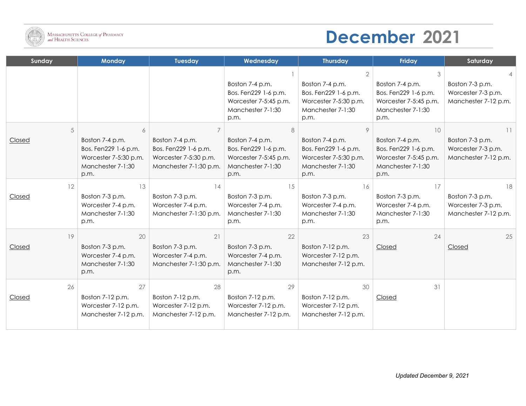

## **December 2021**

| Sunday | <b>Monday</b>                                                                                 | <b>Tuesday</b>                                                                             | Wednesday                                                                                     | <b>Thursday</b>                                                                               | Friday                                                                                        | Saturday                                                      |
|--------|-----------------------------------------------------------------------------------------------|--------------------------------------------------------------------------------------------|-----------------------------------------------------------------------------------------------|-----------------------------------------------------------------------------------------------|-----------------------------------------------------------------------------------------------|---------------------------------------------------------------|
|        |                                                                                               |                                                                                            |                                                                                               |                                                                                               |                                                                                               |                                                               |
|        |                                                                                               |                                                                                            | Boston 7-4 p.m.<br>Bos. Fen229 1-6 p.m.<br>Worcester 7-5:45 p.m.<br>Manchester 7-1:30<br>p.m. | Boston 7-4 p.m.<br>Bos. Fen229 1-6 p.m.<br>Worcester 7-5:30 p.m.<br>Manchester 7-1:30<br>p.m. | Boston 7-4 p.m.<br>Bos. Fen229 1-6 p.m.<br>Worcester 7-5:45 p.m.<br>Manchester 7-1:30<br>p.m. | Boston 7-3 p.m.<br>Worcester 7-3 p.m.<br>Manchester 7-12 p.m. |
| 5      | 6                                                                                             |                                                                                            | 8                                                                                             | 9                                                                                             | 10                                                                                            | 11                                                            |
| Closed | Boston 7-4 p.m.<br>Bos. Fen229 1-6 p.m.<br>Worcester 7-5:30 p.m.<br>Manchester 7-1:30<br>p.m. | Boston 7-4 p.m.<br>Bos. Fen229 1-6 p.m.<br>Worcester 7-5:30 p.m.<br>Manchester 7-1:30 p.m. | Boston 7-4 p.m.<br>Bos. Fen229 1-6 p.m.<br>Worcester 7-5:45 p.m.<br>Manchester 7-1:30<br>p.m. | Boston 7-4 p.m.<br>Bos. Fen229 1-6 p.m.<br>Worcester 7-5:30 p.m.<br>Manchester 7-1:30<br>p.m. | Boston 7-4 p.m.<br>Bos. Fen229 1-6 p.m.<br>Worcester 7-5:45 p.m.<br>Manchester 7-1:30<br>p.m. | Boston 7-3 p.m.<br>Worcester 7-3 p.m.<br>Manchester 7-12 p.m. |
| 12     | 13                                                                                            | 14                                                                                         | 15                                                                                            | 16                                                                                            | 17                                                                                            | 18                                                            |
| Closed | Boston 7-3 p.m.<br>Worcester 7-4 p.m.<br>Manchester 7-1:30<br>p.m.                            | Boston 7-3 p.m.<br>Worcester 7-4 p.m.<br>Manchester 7-1:30 p.m.                            | Boston 7-3 p.m.<br>Worcester 7-4 p.m.<br>Manchester 7-1:30<br>p.m.                            | Boston 7-3 p.m.<br>Worcester 7-4 p.m.<br>Manchester 7-1:30<br>p.m.                            | Boston 7-3 p.m.<br>Worcester 7-4 p.m.<br>Manchester 7-1:30<br>p.m.                            | Boston 7-3 p.m.<br>Worcester 7-3 p.m.<br>Manchester 7-12 p.m. |
| 19     | 20                                                                                            | 21                                                                                         | 22                                                                                            | 23                                                                                            | 24                                                                                            | 25                                                            |
| Closed | Boston 7-3 p.m.<br>Worcester 7-4 p.m.<br>Manchester 7-1:30<br>p.m.                            | Boston 7-3 p.m.<br>Worcester 7-4 p.m.<br>Manchester 7-1:30 p.m.                            | Boston 7-3 p.m.<br>Worcester 7-4 p.m.<br>Manchester 7-1:30<br>p.m.                            | Boston 7-12 p.m.<br>Worcester 7-12 p.m.<br>Manchester 7-12 p.m.                               | Closed                                                                                        | Closed                                                        |
| 26     | 27                                                                                            | 28                                                                                         | 29                                                                                            | 30                                                                                            | 31                                                                                            |                                                               |
| Closed | Boston 7-12 p.m.<br>Worcester 7-12 p.m.<br>Manchester 7-12 p.m.                               | Boston 7-12 p.m.<br>Worcester 7-12 p.m.<br>Manchester 7-12 p.m.                            | Boston 7-12 p.m.<br>Worcester 7-12 p.m.<br>Manchester 7-12 p.m.                               | Boston 7-12 p.m.<br>Worcester 7-12 p.m.<br>Manchester 7-12 p.m.                               | Closed                                                                                        |                                                               |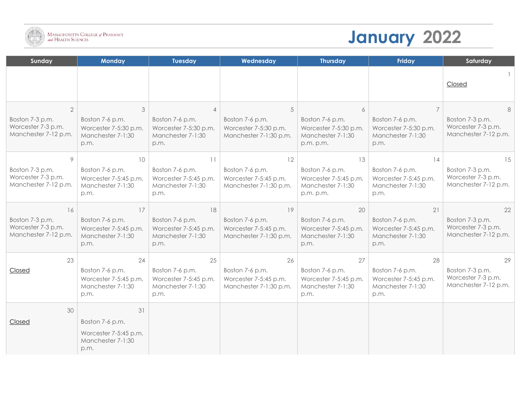

## **January 2022**

| Sunday                                                                          | <b>Monday</b>                                                               | <b>Tuesday</b>                                                                          | Wednesday                                                                | <b>Thursday</b>                                                                  | Friday                                                                      | Saturday                                                            |
|---------------------------------------------------------------------------------|-----------------------------------------------------------------------------|-----------------------------------------------------------------------------------------|--------------------------------------------------------------------------|----------------------------------------------------------------------------------|-----------------------------------------------------------------------------|---------------------------------------------------------------------|
|                                                                                 |                                                                             |                                                                                         |                                                                          |                                                                                  |                                                                             | Closed                                                              |
| $\overline{2}$<br>Boston 7-3 p.m.<br>Worcester 7-3 p.m.<br>Manchester 7-12 p.m. | 3<br>Boston 7-6 p.m.<br>Worcester 7-5:30 p.m.<br>Manchester 7-1:30<br>p.m.  | $\overline{4}$<br>Boston 7-6 p.m.<br>Worcester 7-5:30 p.m.<br>Manchester 7-1:30<br>p.m. | 5<br>Boston 7-6 p.m.<br>Worcester 7-5:30 p.m.<br>Manchester 7-1:30 p.m.  | 6<br>Boston 7-6 p.m.<br>Worcester 7-5:30 p.m.<br>Manchester 7-1:30<br>p.m. p.m.  | Boston 7-6 p.m.<br>Worcester 7-5:30 p.m.<br>Manchester 7-1:30<br>p.m.       | 8<br>Boston 7-3 p.m.<br>Worcester 7-3 p.m.<br>Manchester 7-12 p.m.  |
| 9<br>Boston 7-3 p.m.<br>Worcester 7-3 p.m.<br>Manchester 7-12 p.m.              | 10<br>Boston 7-6 p.m.<br>Worcester 7-5:45 p.m.<br>Manchester 7-1:30<br>p.m. | 11<br>Boston 7-6 p.m.<br>Worcester 7-5:45 p.m.<br>Manchester 7-1:30<br>p.m.             | 12<br>Boston 7-6 p.m.<br>Worcester 7-5:45 p.m.<br>Manchester 7-1:30 p.m. | 13<br>Boston 7-6 p.m.<br>Worcester 7-5:45 p.m.<br>Manchester 7-1:30<br>p.m. p.m. | 14<br>Boston 7-6 p.m.<br>Worcester 7-5:45 p.m.<br>Manchester 7-1:30<br>p.m. | 15<br>Boston 7-3 p.m.<br>Worcester 7-3 p.m.<br>Manchester 7-12 p.m. |
| 16<br>Boston 7-3 p.m.<br>Worcester 7-3 p.m.<br>Manchester 7-12 p.m.             | 17<br>Boston 7-6 p.m.<br>Worcester 7-5:45 p.m.<br>Manchester 7-1:30<br>p.m. | 18<br>Boston 7-6 p.m.<br>Worcester 7-5:45 p.m.<br>Manchester 7-1:30<br>p.m.             | 19<br>Boston 7-6 p.m.<br>Worcester 7-5:45 p.m.<br>Manchester 7-1:30 p.m. | 20<br>Boston 7-6 p.m.<br>Worcester 7-5:45 p.m.<br>Manchester 7-1:30<br>p.m.      | 21<br>Boston 7-6 p.m.<br>Worcester 7-5:45 p.m.<br>Manchester 7-1:30<br>p.m. | 22<br>Boston 7-3 p.m.<br>Worcester 7-3 p.m.<br>Manchester 7-12 p.m. |
| 23<br>Closed                                                                    | 24<br>Boston 7-6 p.m.<br>Worcester 7-5:45 p.m.<br>Manchester 7-1:30<br>p.m. | 25<br>Boston 7-6 p.m.<br>Worcester 7-5:45 p.m.<br>Manchester 7-1:30<br>p.m.             | 26<br>Boston 7-6 p.m.<br>Worcester 7-5:45 p.m.<br>Manchester 7-1:30 p.m. | 27<br>Boston 7-6 p.m.<br>Worcester 7-5:45 p.m.<br>Manchester 7-1:30<br>p.m.      | 28<br>Boston 7-6 p.m.<br>Worcester 7-5:45 p.m.<br>Manchester 7-1:30<br>p.m. | 29<br>Boston 7-3 p.m.<br>Worcester 7-3 p.m.<br>Manchester 7-12 p.m. |
| 30<br>Closed                                                                    | 31<br>Boston 7-6 p.m.<br>Worcester 7-5:45 p.m.<br>Manchester 7-1:30<br>p.m. |                                                                                         |                                                                          |                                                                                  |                                                                             |                                                                     |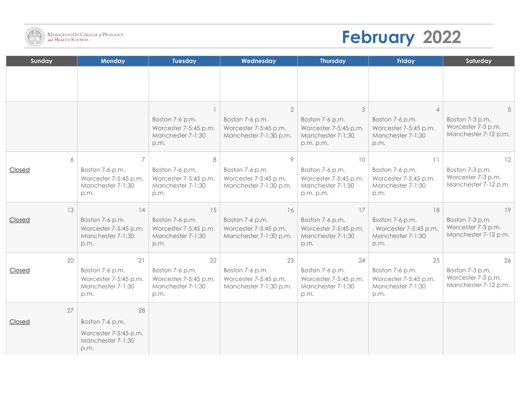

## **February 2022**

| Sunday              | <b>Monday</b>                                                               | <b>Tuesday</b>                                                              | Wednesday                                                                            | <b>Thursday</b>                                                                  | Friday                                                                        | Saturday                                                            |
|---------------------|-----------------------------------------------------------------------------|-----------------------------------------------------------------------------|--------------------------------------------------------------------------------------|----------------------------------------------------------------------------------|-------------------------------------------------------------------------------|---------------------------------------------------------------------|
|                     |                                                                             |                                                                             |                                                                                      |                                                                                  |                                                                               |                                                                     |
|                     |                                                                             | Boston 7-6 p.m.<br>Worcester 7-5:45 p.m.<br>Manchester 7-1:30<br>p.m.       | $\overline{2}$<br>Boston 7-6 p.m.<br>Worcester 7-5:45 p.m.<br>Manchester 7-1:30 p.m. | 3<br>Boston 7-6 p.m.<br>Worcester 7-5:45 p.m.<br>Manchester 7-1:30<br>p.m. p.m.  | Boston 7-6 p.m.<br>Worcester 7-5:45 p.m.<br>Manchester 7-1:30<br>p.m.         | Boston 7-3 p.m.<br>Worcester 7-3 p.m.<br>Manchester 7-12 p.m.       |
| 6<br>Closed         | 7<br>Boston 7-6 p.m.<br>Worcester 7-5:45 p.m.<br>Manchester 7-1:30<br>p.m.  | 8<br>Boston 7-6 p.m.<br>Worcester 7-5:45 p.m.<br>Manchester 7-1:30<br>p.m.  | 9<br>Boston 7-6 p.m.<br>Worcester 7-5:45 p.m.<br>Manchester 7-1:30 p.m.              | 10<br>Boston 7-6 p.m.<br>Worcester 7-5:45 p.m.<br>Manchester 7-1:30<br>p.m. p.m. | 11<br>Boston 7-6 p.m.<br>Worcester 7-5:45 p.m.<br>Manchester 7-1:30<br>p.m.   | 12<br>Boston 7-3 p.m.<br>Worcester 7-3 p.m.<br>Manchester 7-12 p.m. |
| 13<br>Closed        | 14<br>Boston 7-6 p.m.<br>Worcester 7-5:45 p.m.<br>Manchester 7-1:30<br>p.m. | 15<br>Boston 7-6 p.m.<br>Worcester 7-5:45 p.m.<br>Manchester 7-1:30<br>p.m. | 16<br>Boston 7-6 p.m.<br>Worcester 7-5:45 p.m.<br>Manchester 7-1:30 p.m.             | 17<br>Boston 7-6 p.m.<br>Worcester 7-5:45 p.m.<br>Manchester 7-1:30<br>p.m.      | 18<br>Boston 7-6 p.m.<br>. Worcester 7-5:45 p.m.<br>Manchester 7-1:30<br>p.m. | 19<br>Boston 7-3 p.m.<br>Worcester 7-3 p.m.<br>Manchester 7-12 p.m. |
| 20<br><b>Closed</b> | 21<br>Boston 7-6 p.m.<br>Worcester 7-5:45 p.m.<br>Manchester 7-1:30<br>p.m. | 22<br>Boston 7-6 p.m.<br>Worcester 7-5:45 p.m.<br>Manchester 7-1:30<br>p.m. | 23<br>Boston 7-6 p.m.<br>Worcester 7-5:45 p.m.<br>Manchester 7-1:30 p.m.             | 24<br>Boston 7-6 p.m.<br>Worcester 7-5:45 p.m.<br>Manchester 7-1:30<br>p.m.      | 25<br>Boston 7-6 p.m.<br>Worcester 7-5:45 p.m.<br>Manchester 7-1:30<br>p.m.   | 26<br>Boston 7-3 p.m.<br>Worcester 7-3 p.m.<br>Manchester 7-12 p.m. |
| 27<br><b>Closed</b> | 28<br>Boston 7-6 p.m.<br>Worcester 7-5:45 p.m.<br>Manchester 7-1:30<br>p.m. |                                                                             |                                                                                      |                                                                                  |                                                                               |                                                                     |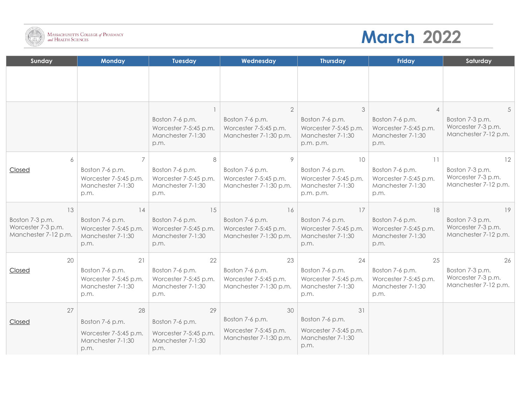

I

## **March 2022**

| Sunday                                                        | <b>Monday</b>                                                         | <b>Tuesday</b>                                                        | Wednesday                                                          | <b>Thursday</b>                                                            | Friday                                                                | Saturday                                                      |
|---------------------------------------------------------------|-----------------------------------------------------------------------|-----------------------------------------------------------------------|--------------------------------------------------------------------|----------------------------------------------------------------------------|-----------------------------------------------------------------------|---------------------------------------------------------------|
|                                                               |                                                                       |                                                                       |                                                                    |                                                                            |                                                                       |                                                               |
|                                                               |                                                                       |                                                                       |                                                                    |                                                                            |                                                                       |                                                               |
|                                                               |                                                                       |                                                                       | $\overline{2}$                                                     | 3                                                                          |                                                                       | 5                                                             |
|                                                               |                                                                       | Boston 7-6 p.m.<br>Worcester 7-5:45 p.m.<br>Manchester 7-1:30<br>p.m. | Boston 7-6 p.m.<br>Worcester 7-5:45 p.m.<br>Manchester 7-1:30 p.m. | Boston 7-6 p.m.<br>Worcester 7-5:45 p.m.<br>Manchester 7-1:30<br>p.m. p.m. | Boston 7-6 p.m.<br>Worcester 7-5:45 p.m.<br>Manchester 7-1:30<br>p.m. | Boston 7-3 p.m.<br>Worcester 7-3 p.m.<br>Manchester 7-12 p.m. |
| 6                                                             |                                                                       | 8                                                                     | 9                                                                  | 10                                                                         | 11                                                                    | 12                                                            |
| Closed                                                        | Boston 7-6 p.m.<br>Worcester 7-5:45 p.m.<br>Manchester 7-1:30<br>p.m. | Boston 7-6 p.m.<br>Worcester 7-5:45 p.m.<br>Manchester 7-1:30<br>p.m. | Boston 7-6 p.m.<br>Worcester 7-5:45 p.m.<br>Manchester 7-1:30 p.m. | Boston 7-6 p.m.<br>Worcester 7-5:45 p.m.<br>Manchester 7-1:30<br>p.m. p.m. | Boston 7-6 p.m.<br>Worcester 7-5:45 p.m.<br>Manchester 7-1:30<br>p.m. | Boston 7-3 p.m.<br>Worcester 7-3 p.m.<br>Manchester 7-12 p.m. |
| 13                                                            | 14                                                                    | 15                                                                    | 16                                                                 | 17                                                                         | 18                                                                    | 19                                                            |
| Boston 7-3 p.m.<br>Worcester 7-3 p.m.<br>Manchester 7-12 p.m. | Boston 7-6 p.m.<br>Worcester 7-5:45 p.m.<br>Manchester 7-1:30<br>p.m. | Boston 7-6 p.m.<br>Worcester 7-5:45 p.m.<br>Manchester 7-1:30<br>p.m. | Boston 7-6 p.m.<br>Worcester 7-5:45 p.m.<br>Manchester 7-1:30 p.m. | Boston 7-6 p.m.<br>Worcester 7-5:45 p.m.<br>Manchester 7-1:30<br>p.m.      | Boston 7-6 p.m.<br>Worcester 7-5:45 p.m.<br>Manchester 7-1:30<br>p.m. | Boston 7-3 p.m.<br>Worcester 7-3 p.m.<br>Manchester 7-12 p.m. |
| 20                                                            | 21                                                                    | 22                                                                    | 23                                                                 | 24                                                                         | 25                                                                    | 26                                                            |
| Closed                                                        | Boston 7-6 p.m.<br>Worcester 7-5:45 p.m.<br>Manchester 7-1:30<br>p.m. | Boston 7-6 p.m.<br>Worcester 7-5:45 p.m.<br>Manchester 7-1:30<br>p.m. | Boston 7-6 p.m.<br>Worcester 7-5:45 p.m.<br>Manchester 7-1:30 p.m. | Boston 7-6 p.m.<br>Worcester 7-5:45 p.m.<br>Manchester 7-1:30<br>p.m.      | Boston 7-6 p.m.<br>Worcester 7-5:45 p.m.<br>Manchester 7-1:30<br>p.m. | Boston 7-3 p.m.<br>Worcester 7-3 p.m.<br>Manchester 7-12 p.m. |
| 27                                                            | 28                                                                    | 29                                                                    | 30                                                                 | 31                                                                         |                                                                       |                                                               |
| Closed                                                        | Boston 7-6 p.m.                                                       | Boston 7-6 p.m.                                                       | Boston 7-6 p.m.                                                    | Boston 7-6 p.m.                                                            |                                                                       |                                                               |
|                                                               | Worcester 7-5:45 p.m.<br>Manchester 7-1:30<br>p.m.                    | Worcester 7-5:45 p.m.<br>Manchester 7-1:30<br>p.m.                    | Worcester 7-5:45 p.m.<br>Manchester 7-1:30 p.m.                    | Worcester 7-5:45 p.m.<br>Manchester 7-1:30<br>p.m.                         |                                                                       |                                                               |